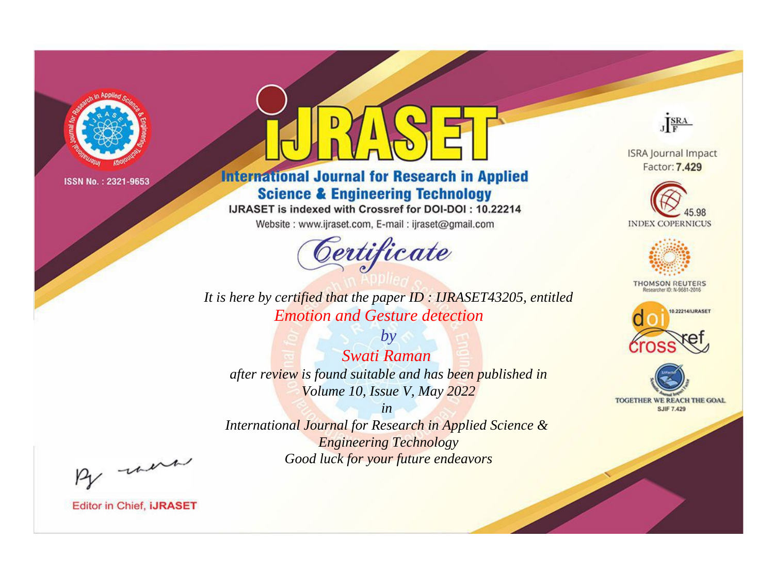

# **International Journal for Research in Applied Science & Engineering Technology**

IJRASET is indexed with Crossref for DOI-DOI: 10.22214

Website: www.ijraset.com, E-mail: ijraset@gmail.com



**ISRA Journal Impact** Factor: 7.429

JERA





**THOMSON REUTERS** 



TOGETHER WE REACH THE GOAL **SJIF 7.429** 

*It is here by certified that the paper ID : IJRASET43205, entitled Emotion and Gesture detection*

*by Swati Raman after review is found suitable and has been published in Volume 10, Issue V, May 2022*

*in* 

*International Journal for Research in Applied Science & Engineering Technology Good luck for your future endeavors*

By morn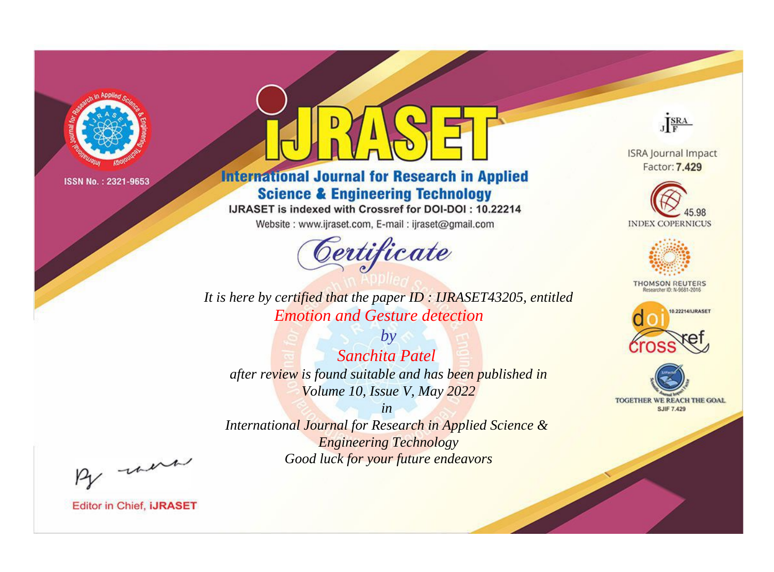

# **International Journal for Research in Applied Science & Engineering Technology**

IJRASET is indexed with Crossref for DOI-DOI: 10.22214

Website: www.ijraset.com, E-mail: ijraset@gmail.com



**ISRA Journal Impact** Factor: 7.429

JERA





**THOMSON REUTERS** 



TOGETHER WE REACH THE GOAL **SJIF 7.429** 

It is here by certified that the paper ID: IJRASET43205, entitled **Emotion and Gesture detection** 

 $by$ **Sanchita Patel** after review is found suitable and has been published in Volume 10, Issue V, May 2022

 $in$ International Journal for Research in Applied Science & **Engineering Technology** Good luck for your future endeavors

By morn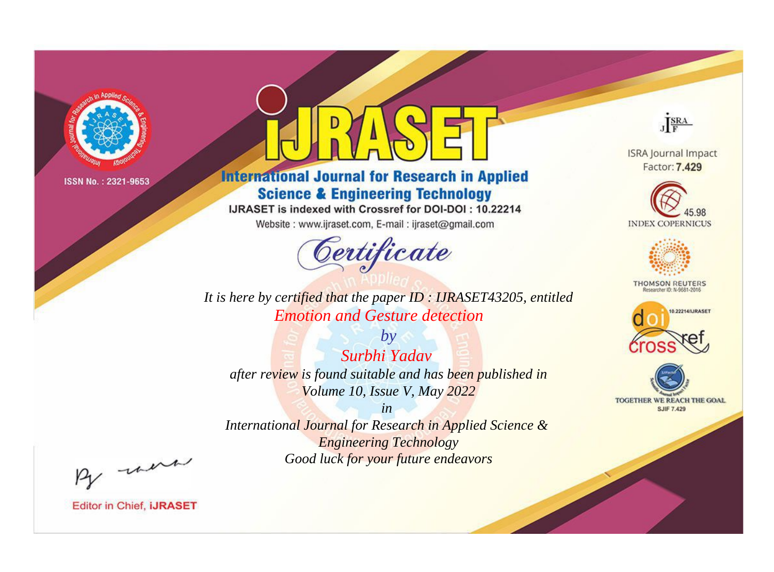

# **International Journal for Research in Applied Science & Engineering Technology**

IJRASET is indexed with Crossref for DOI-DOI: 10.22214

Website: www.ijraset.com, E-mail: ijraset@gmail.com



**ISRA Journal Impact** Factor: 7.429

JERA





**THOMSON REUTERS** 



TOGETHER WE REACH THE GOAL **SJIF 7.429** 

*It is here by certified that the paper ID : IJRASET43205, entitled Emotion and Gesture detection*

*by Surbhi Yadav after review is found suitable and has been published in Volume 10, Issue V, May 2022*

*in* 

*International Journal for Research in Applied Science & Engineering Technology Good luck for your future endeavors*

By morn